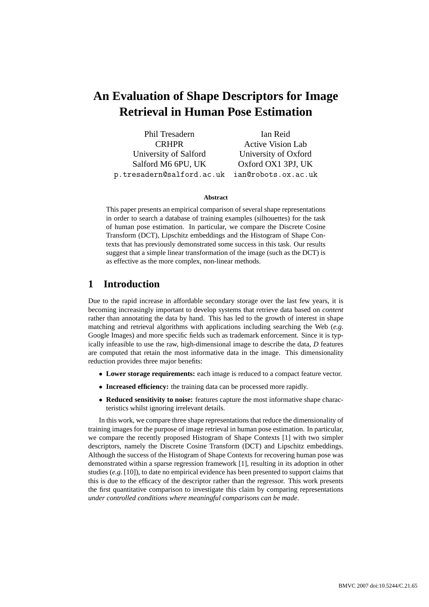# **An Evaluation of Shape Descriptors for Image Retrieval in Human Pose Estimation**

| Phil Tresadern                                | Ian Reid                 |
|-----------------------------------------------|--------------------------|
| <b>CRHPR</b>                                  | <b>Active Vision Lab</b> |
| University of Salford                         | University of Oxford     |
| Salford M6 6PU, UK                            | Oxford OX1 3PJ, UK       |
| p.tresadern@salford.ac.uk ian@robots.ox.ac.uk |                          |

#### **Abstract**

This paper presents an empirical comparison of several shape representations in order to search a database of training examples (silhouettes) for the task of human pose estimation. In particular, we compare the Discrete Cosine Transform (DCT), Lipschitz embeddings and the Histogram of Shape Contexts that has previously demonstrated some success in this task. Our results suggest that a simple linear transformation of the image (such as the DCT) is as effective as the more complex, non-linear methods.

# **1 Introduction**

Due to the rapid increase in affordable secondary storage over the last few years, it is becoming increasingly important to develop systems that retrieve data based on *content* rather than annotating the data by hand. This has led to the growth of interest in shape matching and retrieval algorithms with applications including searching the Web (*e.g*. Google Images) and more specific fields such as trademark enforcement. Since it is typically infeasible to use the raw, high-dimensional image to describe the data, *D* features are computed that retain the most informative data in the image. This dimensionality reduction provides three major benefits:

- **Lower storage requirements:** each image is reduced to a compact feature vector.
- **Increased efficiency:** the training data can be processed more rapidly.
- **Reduced sensitivity to noise:** features capture the most informative shape characteristics whilst ignoring irrelevant details.

In this work, we compare three shape representations that reduce the dimensionality of training images for the purpose of image retrieval in human pose estimation. In particular, we compare the recently proposed Histogram of Shape Contexts [1] with two simpler descriptors, namely the Discrete Cosine Transform (DCT) and Lipschitz embeddings. Although the success of the Histogram of Shape Contexts for recovering human pose was demonstrated within a sparse regression framework [1], resulting in its adoption in other studies (*e.g*. [10]), to date no empirical evidence has been presented to support claims that this is due to the efficacy of the descriptor rather than the regressor. This work presents the first quantitative comparison to investigate this claim by comparing representations *under controlled conditions where meaningful comparisons can be made*.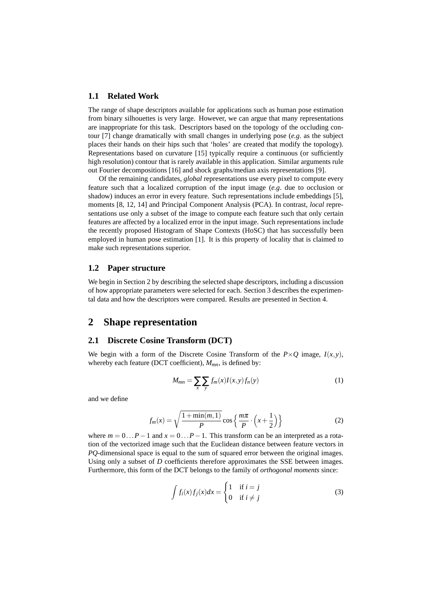#### **1.1 Related Work**

The range of shape descriptors available for applications such as human pose estimation from binary silhouettes is very large. However, we can argue that many representations are inappropriate for this task. Descriptors based on the topology of the occluding contour [7] change dramatically with small changes in underlying pose (*e.g*. as the subject places their hands on their hips such that 'holes' are created that modify the topology). Representations based on curvature [15] typically require a continuous (or sufficiently high resolution) contour that is rarely available in this application. Similar arguments rule out Fourier decompositions [16] and shock graphs/median axis representations [9].

Of the remaining candidates, *global* representations use every pixel to compute every feature such that a localized corruption of the input image (*e.g*. due to occlusion or shadow) induces an error in every feature. Such representations include embeddings [5], moments [8, 12, 14] and Principal Component Analysis (PCA). In contrast, *local* representations use only a subset of the image to compute each feature such that only certain features are affected by a localized error in the input image. Such representations include the recently proposed Histogram of Shape Contexts (HoSC) that has successfully been employed in human pose estimation [1]. It is this property of locality that is claimed to make such representations superior.

## **1.2 Paper structure**

We begin in Section 2 by describing the selected shape descriptors, including a discussion of how appropriate parameters were selected for each. Section 3 describes the experimental data and how the descriptors were compared. Results are presented in Section 4.

# **2 Shape representation**

#### **2.1 Discrete Cosine Transform (DCT)**

We begin with a form of the Discrete Cosine Transform of the  $P \times Q$  image,  $I(x, y)$ , whereby each feature (DCT coefficient), *Mmn*, is defined by:

$$
M_{mn} = \sum_{x} \sum_{y} f_m(x) I(x, y) f_n(y) \tag{1}
$$

and we define

$$
f_m(x) = \sqrt{\frac{1 + \min(m, 1)}{P}} \cos\left\{\frac{m\pi}{P} \cdot \left(x + \frac{1}{2}\right)\right\} \tag{2}
$$

where  $m = 0...P - 1$  and  $x = 0...P - 1$ . This transform can be an interpreted as a rotation of the vectorized image such that the Euclidean distance between feature vectors in *PQ*-dimensional space is equal to the sum of squared error between the original images. Using only a subset of *D* coefficients therefore approximates the SSE between images. Furthermore, this form of the DCT belongs to the family of *orthogonal moments* since:

$$
\int f_i(x)f_j(x)dx = \begin{cases} 1 & \text{if } i = j \\ 0 & \text{if } i \neq j \end{cases}
$$
 (3)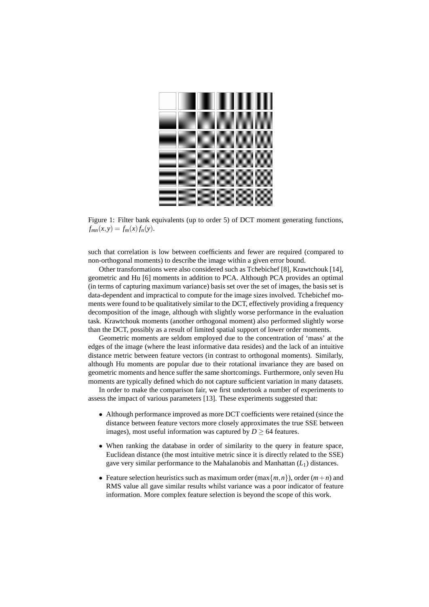

Figure 1: Filter bank equivalents (up to order 5) of DCT moment generating functions,  $f_{mn}(x, y) = f_m(x) f_n(y).$ 

such that correlation is low between coefficients and fewer are required (compared to non-orthogonal moments) to describe the image within a given error bound.

Other transformations were also considered such as Tchebichef [8], Krawtchouk [14], geometric and Hu [6] moments in addition to PCA. Although PCA provides an optimal (in terms of capturing maximum variance) basis set over the set of images, the basis set is data-dependent and impractical to compute for the image sizes involved. Tchebichef moments were found to be qualitatively similar to the DCT, effectively providing a frequency decomposition of the image, although with slightly worse performance in the evaluation task. Krawtchouk moments (another orthogonal moment) also performed slightly worse than the DCT, possibly as a result of limited spatial support of lower order moments.

Geometric moments are seldom employed due to the concentration of 'mass' at the edges of the image (where the least informative data resides) and the lack of an intuitive distance metric between feature vectors (in contrast to orthogonal moments). Similarly, although Hu moments are popular due to their rotational invariance they are based on geometric moments and hence suffer the same shortcomings. Furthermore, only seven Hu moments are typically defined which do not capture sufficient variation in many datasets.

In order to make the comparison fair, we first undertook a number of experiments to assess the impact of various parameters [13]. These experiments suggested that:

- Although performance improved as more DCT coefficients were retained (since the distance between feature vectors more closely approximates the true SSE between images), most useful information was captured by  $D \geq 64$  features.
- When ranking the database in order of similarity to the query in feature space, Euclidean distance (the most intuitive metric since it is directly related to the SSE) gave very similar performance to the Mahalanobis and Manhattan (*L*1) distances.
- Feature selection heuristics such as maximum order  $(\max\{m, n\})$ , order  $(m+n)$  and RMS value all gave similar results whilst variance was a poor indicator of feature information. More complex feature selection is beyond the scope of this work.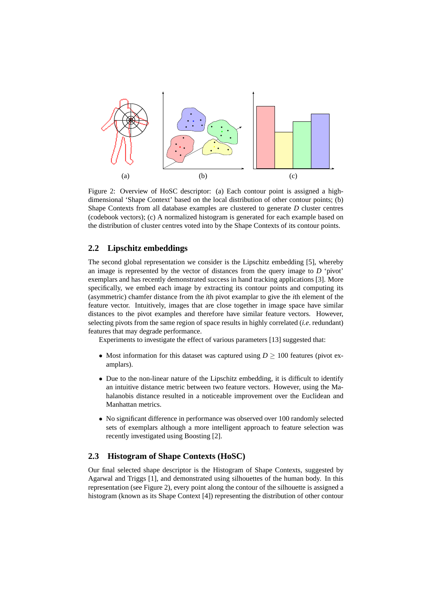

Figure 2: Overview of HoSC descriptor: (a) Each contour point is assigned a highdimensional 'Shape Context' based on the local distribution of other contour points; (b) Shape Contexts from all database examples are clustered to generate *D* cluster centres (codebook vectors); (c) A normalized histogram is generated for each example based on the distribution of cluster centres voted into by the Shape Contexts of its contour points.

## **2.2 Lipschitz embeddings**

The second global representation we consider is the Lipschitz embedding [5], whereby an image is represented by the vector of distances from the query image to *D* 'pivot' exemplars and has recently demonstrated success in hand tracking applications [3]. More specifically, we embed each image by extracting its contour points and computing its (asymmetric) chamfer distance from the *i*th pivot examplar to give the *i*th element of the feature vector. Intuitively, images that are close together in image space have similar distances to the pivot examples and therefore have similar feature vectors. However, selecting pivots from the same region of space results in highly correlated (*i.e*. redundant) features that may degrade performance.

Experiments to investigate the effect of various parameters [13] suggested that:

- Most information for this dataset was captured using  $D \ge 100$  features (pivot examplars).
- Due to the non-linear nature of the Lipschitz embedding, it is difficult to identify an intuitive distance metric between two feature vectors. However, using the Mahalanobis distance resulted in a noticeable improvement over the Euclidean and Manhattan metrics.
- No significant difference in performance was observed over 100 randomly selected sets of exemplars although a more intelligent approach to feature selection was recently investigated using Boosting [2].

# **2.3 Histogram of Shape Contexts (HoSC)**

Our final selected shape descriptor is the Histogram of Shape Contexts, suggested by Agarwal and Triggs [1], and demonstrated using silhouettes of the human body. In this representation (see Figure 2), every point along the contour of the silhouette is assigned a histogram (known as its Shape Context [4]) representing the distribution of other contour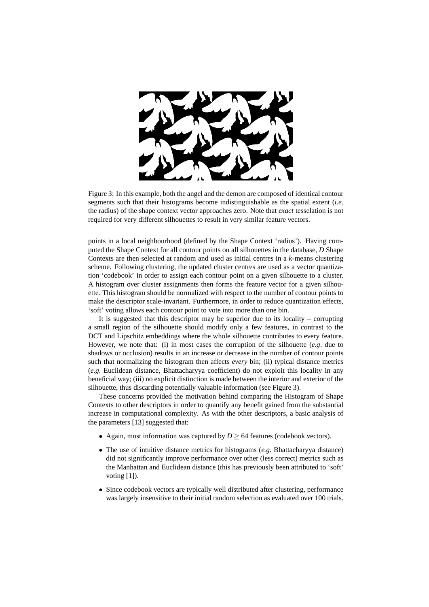

Figure 3: In this example, both the angel and the demon are composed of identical contour segments such that their histograms become indistinguishable as the spatial extent (*i.e*. the radius) of the shape context vector approaches zero. Note that *exact* tesselation is not required for very different silhouettes to result in very similar feature vectors.

points in a local neighbourhood (defined by the Shape Context 'radius'). Having computed the Shape Context for all contour points on all silhouettes in the database, *D* Shape Contexts are then selected at random and used as initial centres in a *k*-means clustering scheme. Following clustering, the updated cluster centres are used as a vector quantization 'codebook' in order to assign each contour point on a given silhouette to a cluster. A histogram over cluster assignments then forms the feature vector for a given silhouette. This histogram should be normalized with respect to the number of contour points to make the descriptor scale-invariant. Furthermore, in order to reduce quantization effects, 'soft' voting allows each contour point to vote into more than one bin.

It is suggested that this descriptor may be superior due to its locality – corrupting a small region of the silhouette should modify only a few features, in contrast to the DCT and Lipschitz embeddings where the whole silhouette contributes to every feature. However, we note that: (i) in most cases the corruption of the silhouette (*e.g*. due to shadows or occlusion) results in an increase or decrease in the number of contour points such that normalizing the histogram then affects *every* bin; (ii) typical distance metrics (*e.g*. Euclidean distance, Bhattacharyya coefficient) do not exploit this locality in any beneficial way; (iii) no explicit distinction is made between the interior and exterior of the silhouette, thus discarding potentially valuable information (see Figure 3).

These concerns provided the motivation behind comparing the Histogram of Shape Contexts to other descriptors in order to quantify any benefit gained from the substantial increase in computational complexity. As with the other descriptors, a basic analysis of the parameters [13] suggested that:

- Again, most information was captured by  $D \geq 64$  features (codebook vectors).
- The use of intuitive distance metrics for histograms (*e.g*. Bhattacharyya distance) did not significantly improve performance over other (less correct) metrics such as the Manhattan and Euclidean distance (this has previously been attributed to 'soft' voting [1]).
- Since codebook vectors are typically well distributed after clustering, performance was largely insensitive to their initial random selection as evaluated over 100 trials.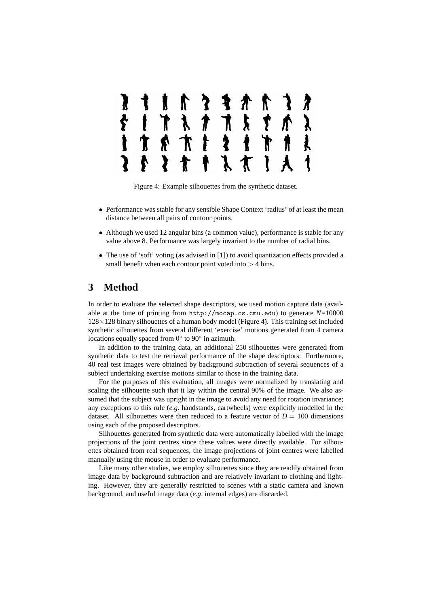

Figure 4: Example silhouettes from the synthetic dataset.

- Performance was stable for any sensible Shape Context 'radius' of at least the mean distance between all pairs of contour points.
- Although we used 12 angular bins (a common value), performance is stable for any value above 8. Performance was largely invariant to the number of radial bins.
- The use of 'soft' voting (as advised in [1]) to avoid quantization effects provided a small benefit when each contour point voted into  $>$  4 bins.

# **3 Method**

In order to evaluate the selected shape descriptors, we used motion capture data (available at the time of printing from http://mocap.cs.cmu.edu) to generate *N*=10000  $128\times128$  binary silhouettes of a human body model (Figure 4). This training set included synthetic silhouettes from several different 'exercise' motions generated from 4 camera locations equally spaced from  $0^{\circ}$  to  $90^{\circ}$  in azimuth.

In addition to the training data, an additional 250 silhouettes were generated from synthetic data to test the retrieval performance of the shape descriptors. Furthermore, 40 real test images were obtained by background subtraction of several sequences of a subject undertaking exercise motions similar to those in the training data.

For the purposes of this evaluation, all images were normalized by translating and scaling the silhouette such that it lay within the central 90% of the image. We also assumed that the subject was upright in the image to avoid any need for rotation invariance; any exceptions to this rule (*e.g*. handstands, cartwheels) were explicitly modelled in the dataset. All silhouettes were then reduced to a feature vector of  $D = 100$  dimensions using each of the proposed descriptors.

Silhouettes generated from synthetic data were automatically labelled with the image projections of the joint centres since these values were directly available. For silhouettes obtained from real sequences, the image projections of joint centres were labelled manually using the mouse in order to evaluate performance.

Like many other studies, we employ silhouettes since they are readily obtained from image data by background subtraction and are relatively invariant to clothing and lighting. However, they are generally restricted to scenes with a static camera and known background, and useful image data (*e.g*. internal edges) are discarded.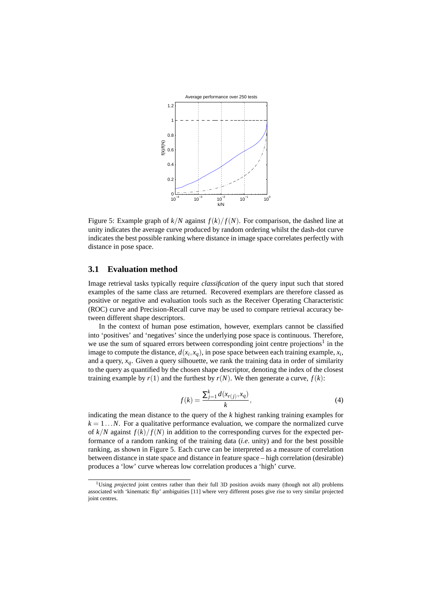

Figure 5: Example graph of  $k/N$  against  $f(k)/f(N)$ . For comparison, the dashed line at unity indicates the average curve produced by random ordering whilst the dash-dot curve indicates the best possible ranking where distance in image space correlates perfectly with distance in pose space.

### **3.1 Evaluation method**

Image retrieval tasks typically require *classification* of the query input such that stored examples of the same class are returned. Recovered exemplars are therefore classed as positive or negative and evaluation tools such as the Receiver Operating Characteristic (ROC) curve and Precision-Recall curve may be used to compare retrieval accuracy between different shape descriptors.

In the context of human pose estimation, however, exemplars cannot be classified into 'positives' and 'negatives' since the underlying pose space is continuous. Therefore, we use the sum of squared errors between corresponding joint centre projections<sup>1</sup> in the image to compute the distance,  $d(x_i, x_q)$ , in pose space between each training example,  $x_i$ , and a query,  $x_a$ . Given a query silhouette, we rank the training data in order of similarity to the query as quantified by the chosen shape descriptor, denoting the index of the closest training example by  $r(1)$  and the furthest by  $r(N)$ . We then generate a curve,  $f(k)$ :

$$
f(k) = \frac{\sum_{j=1}^{k} d(x_{r(j)}, x_q)}{k},
$$
\n(4)

indicating the mean distance to the query of the *k* highest ranking training examples for  $k = 1...N$ . For a qualitative performance evaluation, we compare the normalized curve of  $k/N$  against  $f(k)/f(N)$  in addition to the corresponding curves for the expected performance of a random ranking of the training data (*i.e*. unity) and for the best possible ranking, as shown in Figure 5. Each curve can be interpreted as a measure of correlation between distance in state space and distance in feature space – high correlation (desirable) produces a 'low' curve whereas low correlation produces a 'high' curve.

<sup>&</sup>lt;sup>1</sup>Using *projected* joint centres rather than their full 3D position avoids many (though not all) problems associated with 'kinematic flip' ambiguities [11] where very different poses give rise to very similar projected joint centres.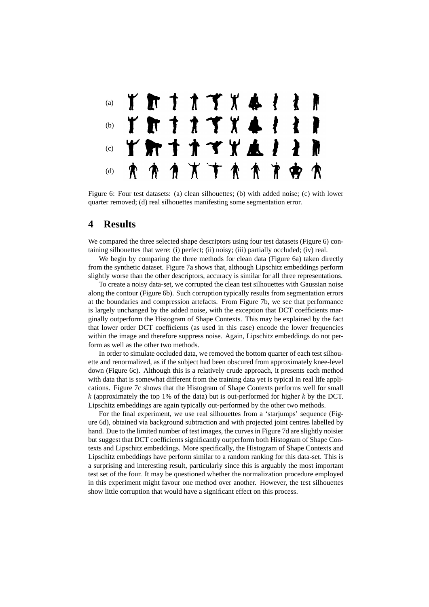

Figure 6: Four test datasets: (a) clean silhouettes; (b) with added noise; (c) with lower quarter removed; (d) real silhouettes manifesting some segmentation error.

# **4 Results**

We compared the three selected shape descriptors using four test datasets (Figure 6) containing silhouettes that were: (i) perfect; (ii) noisy; (iii) partially occluded; (iv) real.

We begin by comparing the three methods for clean data (Figure 6a) taken directly from the synthetic dataset. Figure 7a shows that, although Lipschitz embeddings perform slightly worse than the other descriptors, accuracy is similar for all three representations.

To create a noisy data-set, we corrupted the clean test silhouettes with Gaussian noise along the contour (Figure 6b). Such corruption typically results from segmentation errors at the boundaries and compression artefacts. From Figure 7b, we see that performance is largely unchanged by the added noise, with the exception that DCT coefficients marginally outperform the Histogram of Shape Contexts. This may be explained by the fact that lower order DCT coefficients (as used in this case) encode the lower frequencies within the image and therefore suppress noise. Again, Lipschitz embeddings do not perform as well as the other two methods.

In order to simulate occluded data, we removed the bottom quarter of each test silhouette and renormalized, as if the subject had been obscured from approximately knee-level down (Figure 6c). Although this is a relatively crude approach, it presents each method with data that is somewhat different from the training data yet is typical in real life applications. Figure 7c shows that the Histogram of Shape Contexts performs well for small *k* (approximately the top 1% of the data) but is out-performed for higher *k* by the DCT. Lipschitz embeddings are again typically out-performed by the other two methods.

For the final experiment, we use real silhouettes from a 'starjumps' sequence (Figure 6d), obtained via background subtraction and with projected joint centres labelled by hand. Due to the limited number of test images, the curves in Figure 7d are slightly noisier but suggest that DCT coefficients significantly outperform both Histogram of Shape Contexts and Lipschitz embeddings. More specifically, the Histogram of Shape Contexts and Lipschitz embeddings have perform similar to a random ranking for this data-set. This is a surprising and interesting result, particularly since this is arguably the most important test set of the four. It may be questioned whether the normalization procedure employed in this experiment might favour one method over another. However, the test silhouettes show little corruption that would have a significant effect on this process.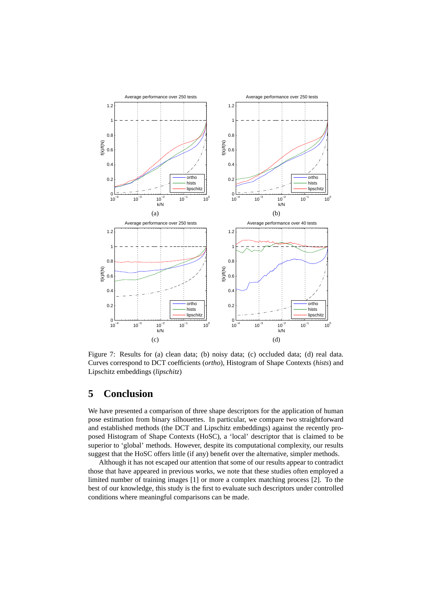

Figure 7: Results for (a) clean data; (b) noisy data; (c) occluded data; (d) real data. Curves correspond to DCT coefficients (*ortho*), Histogram of Shape Contexts (*hists*) and Lipschitz embeddings (*lipschitz*)

# **5 Conclusion**

We have presented a comparison of three shape descriptors for the application of human pose estimation from binary silhouettes. In particular, we compare two straightforward and established methods (the DCT and Lipschitz embeddings) against the recently proposed Histogram of Shape Contexts (HoSC), a 'local' descriptor that is claimed to be superior to 'global' methods. However, despite its computational complexity, our results suggest that the HoSC offers little (if any) benefit over the alternative, simpler methods.

Although it has not escaped our attention that some of our results appear to contradict those that have appeared in previous works, we note that these studies often employed a limited number of training images [1] or more a complex matching process [2]. To the best of our knowledge, this study is the first to evaluate such descriptors under controlled conditions where meaningful comparisons can be made.